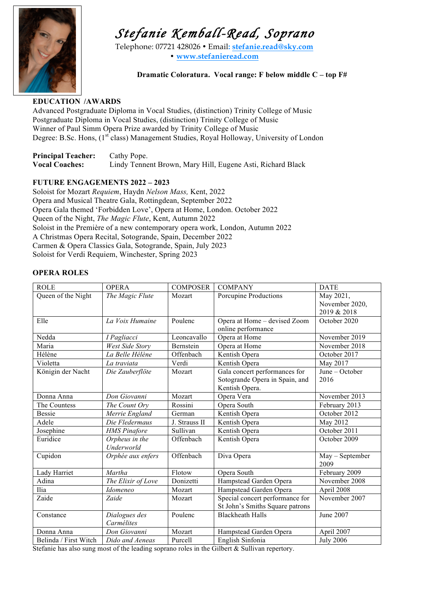

# *Stefanie Kemball-Read, Soprano* Telephone: 07721 428026 • Email**: stefanie.read@sky.com**

**• www.stefanieread.com**

**Dramatic Coloratura. Vocal range: F below middle C – top F#**

### **EDUCATION /AWARDS**

Advanced Postgraduate Diploma in Vocal Studies, (distinction) Trinity College of Music Postgraduate Diploma in Vocal Studies, (distinction) Trinity College of Music Winner of Paul Simm Opera Prize awarded by Trinity College of Music Degree: B.Sc. Hons, (1<sup>st c</sup>lass) Management Studies, Royal Holloway, University of London

| <b>Principal Teacher:</b> | Cathy Pope.                                                |
|---------------------------|------------------------------------------------------------|
| <b>Vocal Coaches:</b>     | Lindy Tennent Brown, Mary Hill, Eugene Asti, Richard Black |

### **FUTURE ENGAGEMENTS 2022 – 2023**

Soloist for Mozart *Requiem*, Haydn *Nelson Mass,* Kent, 2022 Opera and Musical Theatre Gala, Rottingdean, September 2022 Opera Gala themed 'Forbidden Love', Opera at Home, London. October 2022 Queen of the Night, *The Magic Flute*, Kent, Autumn 2022 Soloist in the Première of a new contemporary opera work, London, Autumn 2022 A Christmas Opera Recital, Sotogrande, Spain, December 2022 Carmen & Opera Classics Gala, Sotogrande, Spain, July 2023 Soloist for Verdi Requiem, Winchester, Spring 2023

### **OPERA ROLES**

| <b>ROLE</b>           | <b>OPERA</b>           | <b>COMPOSER</b> | <b>COMPANY</b>                  | <b>DATE</b>      |
|-----------------------|------------------------|-----------------|---------------------------------|------------------|
| Queen of the Night    | The Magic Flute        | Mozart          | Porcupine Productions           | May 2021,        |
|                       |                        |                 |                                 | November 2020,   |
|                       |                        |                 |                                 | 2019 & 2018      |
| Elle                  | La Voix Humaine        | Poulenc         | Opera at Home - devised Zoom    | October 2020     |
|                       |                        |                 | online performance              |                  |
| Nedda                 | I Pagliacci            | Leoncavallo     | Opera at Home                   | November 2019    |
| Maria                 | <b>West Side Story</b> | Bernstein       | Opera at Home                   | November 2018    |
| Hélène                | La Belle Hélène        | Offenbach       | Kentish Opera                   | October 2017     |
| Violetta              | La traviata            | Verdi           | Kentish Opera                   | May 2017         |
| Königin der Nacht     | Die Zauberflöte        | Mozart          | Gala concert performances for   | June - October   |
|                       |                        |                 | Sotogrande Opera in Spain, and  | 2016             |
|                       |                        |                 | Kentish Opera.                  |                  |
| Donna Anna            | Don Giovanni           | Mozart          | Opera Vera                      | November 2013    |
| The Countess          | The Count Orv          | Rossini         | Opera South                     | February 2013    |
| <b>Bessie</b>         | Merrie England         | German          | Kentish Opera                   | October 2012     |
| Adele                 | Die Fledermaus         | J. Strauss II   | Kentish Opera                   | May 2012         |
| Josephine             | <b>HMS</b> Pinafore    | Sullivan        | Kentish Opera                   | October 2011     |
| Euridice              | Orpheus in the         | Offenbach       | Kentish Opera                   | October 2009     |
|                       | Underworld             |                 |                                 |                  |
| Cupidon               | Orphée aux enfers      | Offenbach       | Diva Opera                      | May - September  |
|                       |                        |                 |                                 | 2009             |
| Lady Harriet          | Martha                 | Flotow          | Opera South                     | February 2009    |
| Adina                 | The Elixir of Love     | Donizetti       | Hampstead Garden Opera          | November 2008    |
| Ilia                  | <i>Idomeneo</i>        | Mozart          | Hampstead Garden Opera          | April 2008       |
| Zaide                 | Zaide                  | Mozart          | Special concert performance for | November 2007    |
|                       |                        |                 | St John's Smiths Square patrons |                  |
| Constance             | Dialogues des          | Poulenc         | <b>Blackheath Halls</b>         | June 2007        |
|                       | Carmélites             |                 |                                 |                  |
| Donna Anna            | Don Giovanni           | Mozart          | Hampstead Garden Opera          | April 2007       |
| Belinda / First Witch | Dido and Aeneas        | Purcell         | English Sinfonia                | <b>July 2006</b> |

Stefanie has also sung most of the leading soprano roles in the Gilbert & Sullivan repertory.